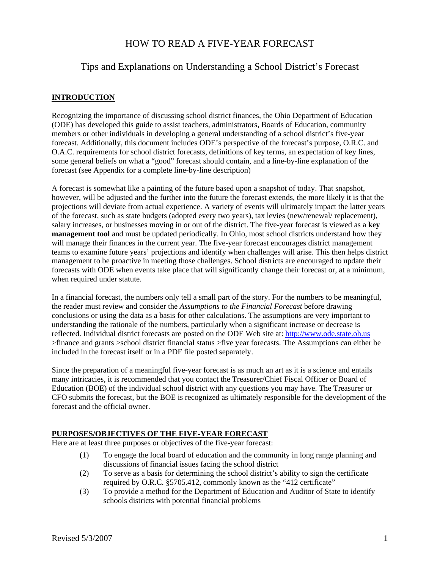# HOW TO READ A FIVE-YEAR FORECAST

# Tips and Explanations on Understanding a School District's Forecast

## **INTRODUCTION**

Recognizing the importance of discussing school district finances, the Ohio Department of Education (ODE) has developed this guide to assist teachers, administrators, Boards of Education, community members or other individuals in developing a general understanding of a school district's five-year forecast. Additionally, this document includes ODE's perspective of the forecast's purpose, O.R.C. and O.A.C. requirements for school district forecasts, definitions of key terms, an expectation of key lines, some general beliefs on what a "good" forecast should contain, and a line-by-line explanation of the forecast (see Appendix for a complete line-by-line description)

A forecast is somewhat like a painting of the future based upon a snapshot of today. That snapshot, however, will be adjusted and the further into the future the forecast extends, the more likely it is that the projections will deviate from actual experience. A variety of events will ultimately impact the latter years of the forecast, such as state budgets (adopted every two years), tax levies (new/renewal/ replacement), salary increases, or businesses moving in or out of the district. The five-year forecast is viewed as a **key management tool** and must be updated periodically. In Ohio, most school districts understand how they will manage their finances in the current year. The five-year forecast encourages district management teams to examine future years' projections and identify when challenges will arise. This then helps district management to be proactive in meeting those challenges. School districts are encouraged to update their forecasts with ODE when events take place that will significantly change their forecast or, at a minimum, when required under statute.

In a financial forecast, the numbers only tell a small part of the story. For the numbers to be meaningful, the reader must review and consider the *Assumptions to the Financial Forecast* before drawing conclusions or using the data as a basis for other calculations. The assumptions are very important to understanding the rationale of the numbers, particularly when a significant increase or decrease is reflected. Individual district forecasts are posted on the ODE Web site at: http://www.ode.state.oh.us >finance and grants >school district financial status >five year forecasts. The Assumptions can either be included in the forecast itself or in a PDF file posted separately.

Since the preparation of a meaningful five-year forecast is as much an art as it is a science and entails many intricacies, it is recommended that you contact the Treasurer/Chief Fiscal Officer or Board of Education (BOE) of the individual school district with any questions you may have. The Treasurer or CFO submits the forecast, but the BOE is recognized as ultimately responsible for the development of the forecast and the official owner.

### **PURPOSES/OBJECTIVES OF THE FIVE-YEAR FORECAST**

Here are at least three purposes or objectives of the five-year forecast:

- (1) To engage the local board of education and the community in long range planning and discussions of financial issues facing the school district
- (2) To serve as a basis for determining the school district's ability to sign the certificate required by O.R.C. §5705.412, commonly known as the "412 certificate"
- (3) To provide a method for the Department of Education and Auditor of State to identify schools districts with potential financial problems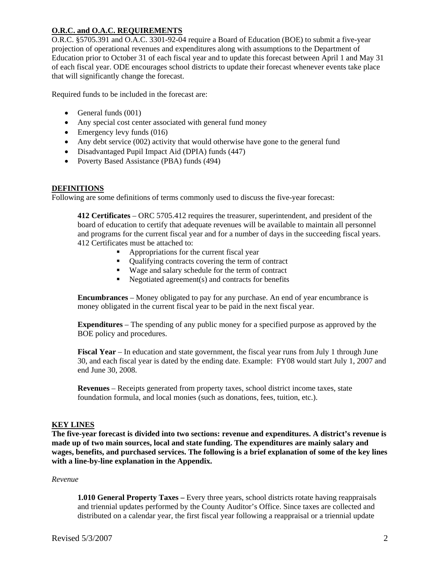### **O.R.C. and O.A.C. REQUIREMENTS**

O.R.C. §5705.391 and O.A.C. 3301-92-04 require a Board of Education (BOE) to submit a five-year projection of operational revenues and expenditures along with assumptions to the Department of Education prior to October 31 of each fiscal year and to update this forecast between April 1 and May 31 of each fiscal year. ODE encourages school districts to update their forecast whenever events take place that will significantly change the forecast.

Required funds to be included in the forecast are:

- $\bullet$  General funds (001)
- Any special cost center associated with general fund money
- $\bullet$  Emergency levy funds (016)
- Any debt service (002) activity that would otherwise have gone to the general fund
- Disadvantaged Pupil Impact Aid (DPIA) funds (447)
- Poverty Based Assistance (PBA) funds (494)

#### **DEFINITIONS**

Following are some definitions of terms commonly used to discuss the five-year forecast:

**412 Certificates** – ORC 5705.412 requires the treasurer, superintendent, and president of the board of education to certify that adequate revenues will be available to maintain all personnel and programs for the current fiscal year and for a number of days in the succeeding fiscal years. 412 Certificates must be attached to:

- Appropriations for the current fiscal year
- Qualifying contracts covering the term of contract
- Wage and salary schedule for the term of contract
- $\blacksquare$  Negotiated agreement(s) and contracts for benefits

**Encumbrances** – Money obligated to pay for any purchase. An end of year encumbrance is money obligated in the current fiscal year to be paid in the next fiscal year.

**Expenditures** – The spending of any public money for a specified purpose as approved by the BOE policy and procedures.

**Fiscal Year** – In education and state government, the fiscal year runs from July 1 through June 30, and each fiscal year is dated by the ending date. Example: FY08 would start July 1, 2007 and end June 30, 2008.

**Revenues** – Receipts generated from property taxes, school district income taxes, state foundation formula, and local monies (such as donations, fees, tuition, etc.).

### **KEY LINES**

**The five-year forecast is divided into two sections: revenue and expenditures. A district's revenue is made up of two main sources, local and state funding. The expenditures are mainly salary and wages, benefits, and purchased services. The following is a brief explanation of some of the key lines with a line-by-line explanation in the Appendix.** 

#### *Revenue*

**1.010 General Property Taxes –** Every three years, school districts rotate having reappraisals and triennial updates performed by the County Auditor's Office. Since taxes are collected and distributed on a calendar year, the first fiscal year following a reappraisal or a triennial update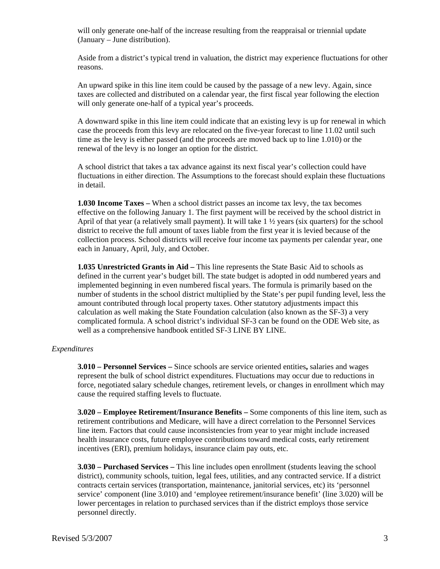will only generate one-half of the increase resulting from the reappraisal or triennial update (January – June distribution).

Aside from a district's typical trend in valuation, the district may experience fluctuations for other reasons.

An upward spike in this line item could be caused by the passage of a new levy. Again, since taxes are collected and distributed on a calendar year, the first fiscal year following the election will only generate one-half of a typical year's proceeds.

A downward spike in this line item could indicate that an existing levy is up for renewal in which case the proceeds from this levy are relocated on the five-year forecast to line 11.02 until such time as the levy is either passed (and the proceeds are moved back up to line 1.010) or the renewal of the levy is no longer an option for the district.

A school district that takes a tax advance against its next fiscal year's collection could have fluctuations in either direction. The Assumptions to the forecast should explain these fluctuations in detail.

**1.030 Income Taxes –** When a school district passes an income tax levy, the tax becomes effective on the following January 1. The first payment will be received by the school district in April of that year (a relatively small payment). It will take  $1\frac{1}{2}$  years (six quarters) for the school district to receive the full amount of taxes liable from the first year it is levied because of the collection process. School districts will receive four income tax payments per calendar year, one each in January, April, July, and October.

**1.035 Unrestricted Grants in Aid –** This line represents the State Basic Aid to schools as defined in the current year's budget bill. The state budget is adopted in odd numbered years and implemented beginning in even numbered fiscal years. The formula is primarily based on the number of students in the school district multiplied by the State's per pupil funding level, less the amount contributed through local property taxes. Other statutory adjustments impact this calculation as well making the State Foundation calculation (also known as the SF-3) a very complicated formula. A school district's individual SF-3 can be found on the ODE Web site, as well as a comprehensive handbook entitled SF-3 LINE BY LINE.

#### *Expenditures*

**3.010 – Personnel Services –** Since schools are service oriented entities**,** salaries and wages represent the bulk of school district expenditures. Fluctuations may occur due to reductions in force, negotiated salary schedule changes, retirement levels, or changes in enrollment which may cause the required staffing levels to fluctuate.

**3.020 – Employee Retirement/Insurance Benefits –** Some components of this line item, such as retirement contributions and Medicare, will have a direct correlation to the Personnel Services line item. Factors that could cause inconsistencies from year to year might include increased health insurance costs, future employee contributions toward medical costs, early retirement incentives (ERI), premium holidays, insurance claim pay outs, etc.

**3.030 – Purchased Services –** This line includes open enrollment (students leaving the school district), community schools, tuition, legal fees, utilities, and any contracted service. If a district contracts certain services (transportation, maintenance, janitorial services, etc) its 'personnel service' component (line 3.010) and 'employee retirement/insurance benefit' (line 3.020) will be lower percentages in relation to purchased services than if the district employs those service personnel directly.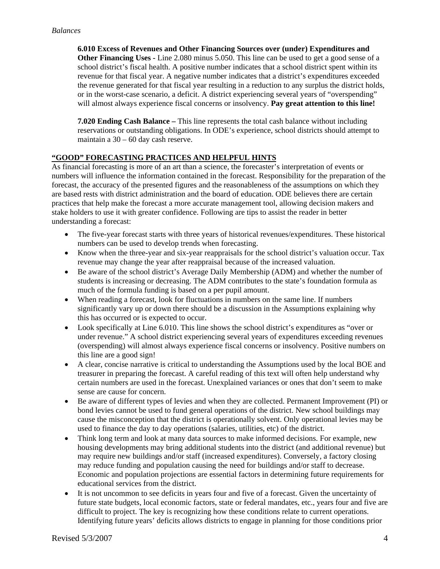**6.010 Excess of Revenues and Other Financing Sources over (under) Expenditures and Other Financing Uses -** Line 2.080 minus 5.050. This line can be used to get a good sense of a school district's fiscal health. A positive number indicates that a school district spent within its revenue for that fiscal year. A negative number indicates that a district's expenditures exceeded the revenue generated for that fiscal year resulting in a reduction to any surplus the district holds, or in the worst-case scenario, a deficit. A district experiencing several years of "overspending" will almost always experience fiscal concerns or insolvency. **Pay great attention to this line!**

**7.020 Ending Cash Balance –** This line represents the total cash balance without including reservations or outstanding obligations. In ODE's experience, school districts should attempt to maintain a 30 – 60 day cash reserve.

### **"GOOD" FORECASTING PRACTICES AND HELPFUL HINTS**

As financial forecasting is more of an art than a science, the forecaster's interpretation of events or numbers will influence the information contained in the forecast. Responsibility for the preparation of the forecast, the accuracy of the presented figures and the reasonableness of the assumptions on which they are based rests with district administration and the board of education. ODE believes there are certain practices that help make the forecast a more accurate management tool, allowing decision makers and stake holders to use it with greater confidence. Following are tips to assist the reader in better understanding a forecast:

- The five-year forecast starts with three years of historical revenues/expenditures. These historical numbers can be used to develop trends when forecasting.
- Know when the three-year and six-year reappraisals for the school district's valuation occur. Tax revenue may change the year after reappraisal because of the increased valuation.
- Be aware of the school district's Average Daily Membership (ADM) and whether the number of students is increasing or decreasing. The ADM contributes to the state's foundation formula as much of the formula funding is based on a per pupil amount.
- When reading a forecast, look for fluctuations in numbers on the same line. If numbers significantly vary up or down there should be a discussion in the Assumptions explaining why this has occurred or is expected to occur.
- Look specifically at Line 6.010. This line shows the school district's expenditures as "over or under revenue." A school district experiencing several years of expenditures exceeding revenues (overspending) will almost always experience fiscal concerns or insolvency. Positive numbers on this line are a good sign!
- A clear, concise narrative is critical to understanding the Assumptions used by the local BOE and treasurer in preparing the forecast. A careful reading of this text will often help understand why certain numbers are used in the forecast. Unexplained variances or ones that don't seem to make sense are cause for concern.
- Be aware of different types of levies and when they are collected. Permanent Improvement (PI) or bond levies cannot be used to fund general operations of the district. New school buildings may cause the misconception that the district is operationally solvent. Only operational levies may be used to finance the day to day operations (salaries, utilities, etc) of the district.
- Think long term and look at many data sources to make informed decisions. For example, new housing developments may bring additional students into the district (and additional revenue) but may require new buildings and/or staff (increased expenditures). Conversely, a factory closing may reduce funding and population causing the need for buildings and/or staff to decrease. Economic and population projections are essential factors in determining future requirements for educational services from the district.
- It is not uncommon to see deficits in years four and five of a forecast. Given the uncertainty of future state budgets, local economic factors, state or federal mandates, etc., years four and five are difficult to project. The key is recognizing how these conditions relate to current operations. Identifying future years' deficits allows districts to engage in planning for those conditions prior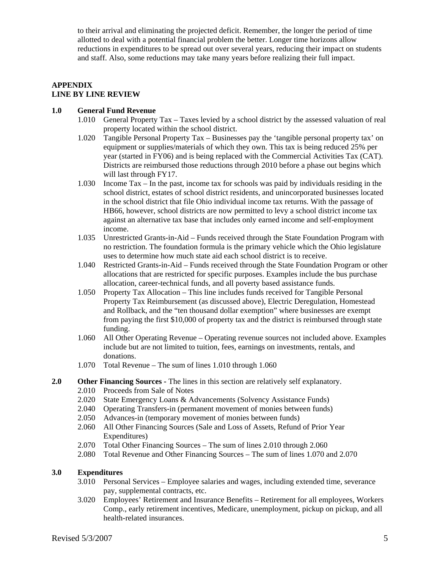to their arrival and eliminating the projected deficit. Remember, the longer the period of time allotted to deal with a potential financial problem the better. Longer time horizons allow reductions in expenditures to be spread out over several years, reducing their impact on students and staff. Also, some reductions may take many years before realizing their full impact.

# **APPENDIX LINE BY LINE REVIEW**

### **1.0 General Fund Revenue**

- 1.010 General Property Tax Taxes levied by a school district by the assessed valuation of real property located within the school district.
- 1.020 Tangible Personal Property Tax Businesses pay the 'tangible personal property tax' on equipment or supplies/materials of which they own. This tax is being reduced 25% per year (started in FY06) and is being replaced with the Commercial Activities Tax (CAT). Districts are reimbursed those reductions through 2010 before a phase out begins which will last through FY17.
- 1.030 Income Tax In the past, income tax for schools was paid by individuals residing in the school district, estates of school district residents, and unincorporated businesses located in the school district that file Ohio individual income tax returns. With the passage of HB66, however, school districts are now permitted to levy a school district income tax against an alternative tax base that includes only earned income and self-employment income.
- 1.035 Unrestricted Grants-in-Aid Funds received through the State Foundation Program with no restriction. The foundation formula is the primary vehicle which the Ohio legislature uses to determine how much state aid each school district is to receive.
- 1.040 Restricted Grants-in-Aid Funds received through the State Foundation Program or other allocations that are restricted for specific purposes. Examples include the bus purchase allocation, career-technical funds, and all poverty based assistance funds.
- 1.050 Property Tax Allocation This line includes funds received for Tangible Personal Property Tax Reimbursement (as discussed above), Electric Deregulation, Homestead and Rollback, and the "ten thousand dollar exemption" where businesses are exempt from paying the first \$10,000 of property tax and the district is reimbursed through state funding.
- 1.060 All Other Operating Revenue Operating revenue sources not included above. Examples include but are not limited to tuition, fees, earnings on investments, rentals, and donations.
- 1.070 Total Revenue The sum of lines 1.010 through 1.060

### **2.0 Other Financing Sources -** The lines in this section are relatively self explanatory.

- 2.010 Proceeds from Sale of Notes
- 2.020 State Emergency Loans & Advancements (Solvency Assistance Funds)
- 2.040 Operating Transfers-in (permanent movement of monies between funds)
- 2.050 Advances-in (temporary movement of monies between funds)
- 2.060 All Other Financing Sources (Sale and Loss of Assets, Refund of Prior Year Expenditures)
- 2.070 Total Other Financing Sources The sum of lines 2.010 through 2.060
- 2.080 Total Revenue and Other Financing Sources The sum of lines 1.070 and 2.070

### **3.0 Expenditures**

- 3.010 Personal Services Employee salaries and wages, including extended time, severance pay, supplemental contracts, etc.
- 3.020 Employees' Retirement and Insurance Benefits Retirement for all employees, Workers Comp., early retirement incentives, Medicare, unemployment, pickup on pickup, and all health-related insurances.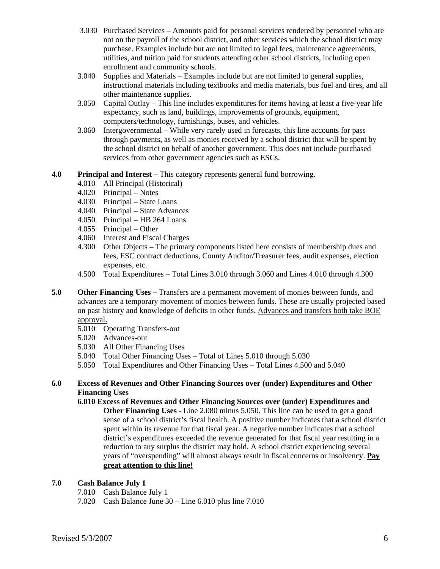- 3.030 Purchased Services Amounts paid for personal services rendered by personnel who are not on the payroll of the school district, and other services which the school district may purchase. Examples include but are not limited to legal fees, maintenance agreements, utilities, and tuition paid for students attending other school districts, including open enrollment and community schools.
- 3.040 Supplies and Materials Examples include but are not limited to general supplies, instructional materials including textbooks and media materials, bus fuel and tires, and all other maintenance supplies.
- 3.050 Capital Outlay This line includes expenditures for items having at least a five-year life expectancy, such as land, buildings, improvements of grounds, equipment, computers/technology, furnishings, buses, and vehicles.
- 3.060 Intergovernmental While very rarely used in forecasts, this line accounts for pass through payments, as well as monies received by a school district that will be spent by the school district on behalf of another government. This does not include purchased services from other government agencies such as ESCs.
- **4.0 Principal and Interest** This category represents general fund borrowing.
	- 4.010 All Principal (Historical)
	- 4.020 Principal Notes
	- 4.030 Principal State Loans
	- 4.040 Principal State Advances
	- 4.050 Principal HB 264 Loans
	- 4.055 Principal Other
	- 4.060 Interest and Fiscal Charges
	- 4.300 Other Objects The primary components listed here consists of membership dues and fees, ESC contract deductions, County Auditor/Treasurer fees, audit expenses, election expenses, etc.
	- 4.500 Total Expenditures Total Lines 3.010 through 3.060 and Lines 4.010 through 4.300
- **5.0 Other Financing Uses Transfers are a permanent movement of monies between funds, and** advances are a temporary movement of monies between funds. These are usually projected based on past history and knowledge of deficits in other funds. Advances and transfers both take BOE approval.
	- 5.010 Operating Transfers-out
	- 5.020 Advances-out
	- 5.030 All Other Financing Uses
	- 5.040 Total Other Financing Uses Total of Lines 5.010 through 5.030
	- 5.050 Total Expenditures and Other Financing Uses Total Lines 4.500 and 5.040

### **6.0 Excess of Revenues and Other Financing Sources over (under) Expenditures and Other Financing Uses**

**6.010 Excess of Revenues and Other Financing Sources over (under) Expenditures and Other Financing Uses -** Line 2.080 minus 5.050. This line can be used to get a good sense of a school district's fiscal health. A positive number indicates that a school district spent within its revenue for that fiscal year. A negative number indicates that a school district's expenditures exceeded the revenue generated for that fiscal year resulting in a reduction to any surplus the district may hold. A school district experiencing several years of "overspending" will almost always result in fiscal concerns or insolvency. **Pay great attention to this line!**

### **7.0 Cash Balance July 1**

- 7.010 Cash Balance July 1
- 7.020 Cash Balance June 30 Line 6.010 plus line 7.010